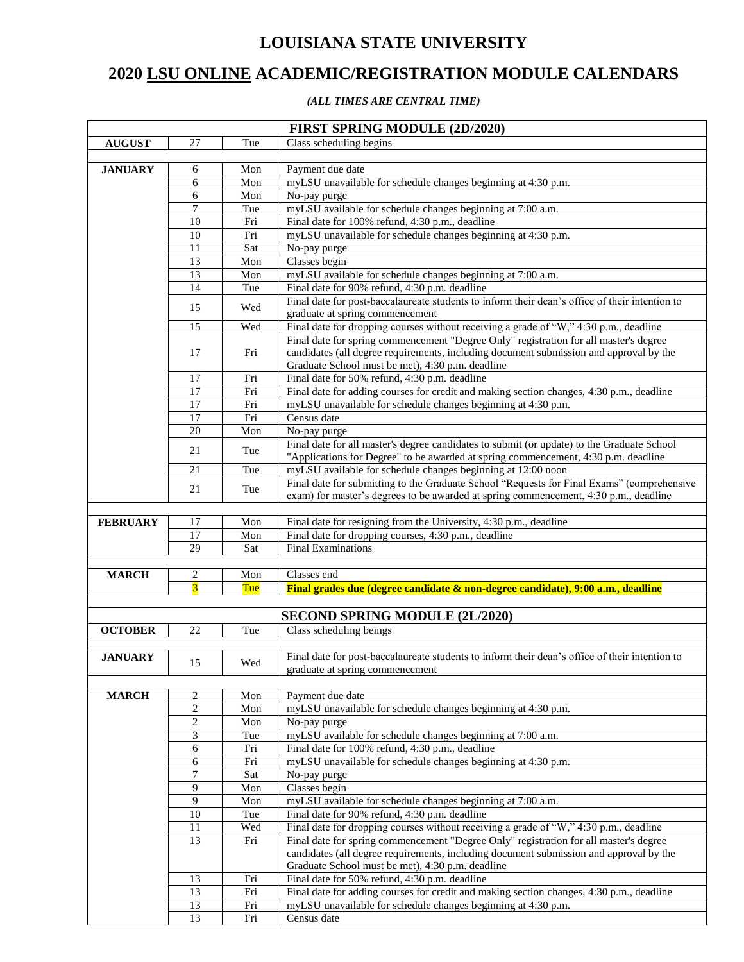## **LOUISIANA STATE UNIVERSITY**

## **LSU ONLINE ACADEMIC/REGISTRATION MODULE CALENDARS**

## *(ALL TIMES ARE CENTRAL TIME)*

|                 |                                  |            | <b>FIRST SPRING MODULE (2D/2020)</b>                                                                             |
|-----------------|----------------------------------|------------|------------------------------------------------------------------------------------------------------------------|
| ${\bf AUGUST}$  | 27                               | Tue        | Class scheduling begins                                                                                          |
|                 |                                  |            |                                                                                                                  |
| <b>JANUARY</b>  | 6                                | Mon        | Payment due date                                                                                                 |
|                 | 6                                | Mon        | myLSU unavailable for schedule changes beginning at 4:30 p.m.                                                    |
|                 | 6                                | Mon        | No-pay purge                                                                                                     |
|                 | 7                                | Tue        | myLSU available for schedule changes beginning at 7:00 a.m.                                                      |
|                 | 10                               | Fri        | Final date for 100% refund, 4:30 p.m., deadline<br>myLSU unavailable for schedule changes beginning at 4:30 p.m. |
|                 | 10<br>11                         | Fri<br>Sat | No-pay purge                                                                                                     |
|                 | 13                               | Mon        | Classes begin                                                                                                    |
|                 | 13                               | Mon        | myLSU available for schedule changes beginning at 7:00 a.m.                                                      |
|                 | 14                               | Tue        | Final date for 90% refund, 4:30 p.m. deadline                                                                    |
|                 |                                  |            | Final date for post-baccalaureate students to inform their dean's office of their intention to                   |
|                 | 15                               | Wed        | graduate at spring commencement                                                                                  |
|                 | 15                               | Wed        | Final date for dropping courses without receiving a grade of "W," 4:30 p.m., deadline                            |
|                 |                                  |            | Final date for spring commencement "Degree Only" registration for all master's degree                            |
|                 | 17                               | Fri        | candidates (all degree requirements, including document submission and approval by the                           |
|                 |                                  |            | Graduate School must be met), 4:30 p.m. deadline                                                                 |
|                 | 17                               | Fri        | Final date for 50% refund, 4:30 p.m. deadline                                                                    |
|                 | 17                               | Fri        | Final date for adding courses for credit and making section changes, 4:30 p.m., deadline                         |
|                 | 17                               | Fri        | myLSU unavailable for schedule changes beginning at 4:30 p.m.                                                    |
|                 | 17                               | Fri        | Census date                                                                                                      |
|                 | 20                               | Mon        | No-pay purge                                                                                                     |
|                 | 21                               | Tue        | Final date for all master's degree candidates to submit (or update) to the Graduate School                       |
|                 |                                  |            | "Applications for Degree" to be awarded at spring commencement, 4:30 p.m. deadline                               |
|                 | 21                               | Tue        | myLSU available for schedule changes beginning at 12:00 noon                                                     |
|                 | 21                               | Tue        | Final date for submitting to the Graduate School "Requests for Final Exams" (comprehensive                       |
|                 |                                  |            | exam) for master's degrees to be awarded at spring commencement, 4:30 p.m., deadline                             |
| <b>FEBRUARY</b> | 17                               | Mon        | Final date for resigning from the University, 4:30 p.m., deadline                                                |
|                 | 17                               | Mon        | Final date for dropping courses, 4:30 p.m., deadline                                                             |
|                 | 29                               | Sat        | <b>Final Examinations</b>                                                                                        |
|                 |                                  |            |                                                                                                                  |
| <b>MARCH</b>    | 2                                | Mon        | Classes end                                                                                                      |
|                 | $\overline{\mathbf{3}}$          | Tue        | Final grades due (degree candidate & non-degree candidate), 9:00 a.m., deadline                                  |
|                 |                                  |            |                                                                                                                  |
|                 |                                  |            | <b>SECOND SPRING MODULE (2L/2020)</b>                                                                            |
| <b>OCTOBER</b>  | 22                               | Tue        | Class scheduling beings                                                                                          |
|                 |                                  |            |                                                                                                                  |
| <b>JANUARY</b>  | 15                               | Wed        | Final date for post-baccalaureate students to inform their dean's office of their intention to                   |
|                 |                                  |            | graduate at spring commencement                                                                                  |
|                 |                                  |            |                                                                                                                  |
| <b>MARCH</b>    | 2                                | Mon        | Payment due date                                                                                                 |
|                 | $\overline{c}$<br>$\overline{2}$ | Mon        | myLSU unavailable for schedule changes beginning at 4:30 p.m.                                                    |
|                 | 3                                | Mon        | No-pay purge<br>myLSU available for schedule changes beginning at 7:00 a.m.                                      |
|                 | 6                                | Tue<br>Fri | Final date for 100% refund, 4:30 p.m., deadline                                                                  |
|                 | 6                                | Fri        | myLSU unavailable for schedule changes beginning at 4:30 p.m.                                                    |
|                 | 7                                | Sat        | No-pay purge                                                                                                     |
|                 | 9                                | Mon        | Classes begin                                                                                                    |
|                 | 9                                | Mon        | myLSU available for schedule changes beginning at 7:00 a.m.                                                      |
|                 | 10                               | Tue        | Final date for 90% refund, 4:30 p.m. deadline                                                                    |
|                 | 11                               | Wed        | Final date for dropping courses without receiving a grade of "W," 4:30 p.m., deadline                            |
|                 | 13                               | Fri        | Final date for spring commencement "Degree Only" registration for all master's degree                            |
|                 |                                  |            | candidates (all degree requirements, including document submission and approval by the                           |
|                 |                                  |            | Graduate School must be met), 4:30 p.m. deadline                                                                 |
|                 | 13                               | Fri        | Final date for 50% refund, 4:30 p.m. deadline                                                                    |
|                 | 13                               | Fri        | Final date for adding courses for credit and making section changes, 4:30 p.m., deadline                         |
|                 | 13                               | Fri        | myLSU unavailable for schedule changes beginning at 4:30 p.m.                                                    |
|                 | 13                               | Fri        | Census date                                                                                                      |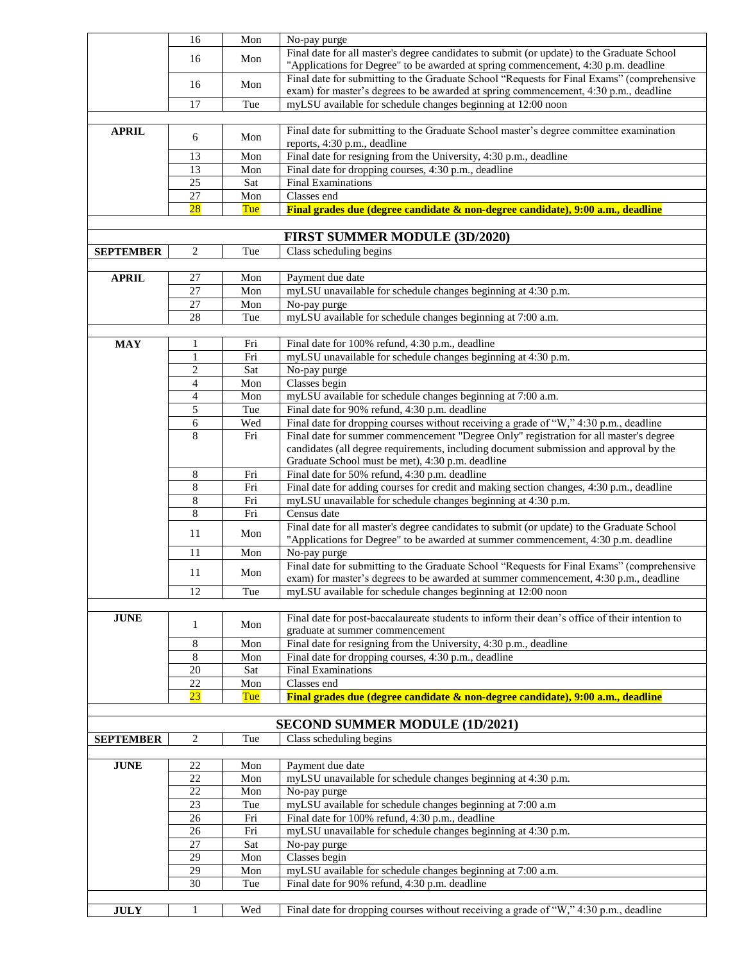|                  | 16              | Mon | No-pay purge                                                                                   |
|------------------|-----------------|-----|------------------------------------------------------------------------------------------------|
|                  | 16              | Mon | Final date for all master's degree candidates to submit (or update) to the Graduate School     |
|                  |                 |     | "Applications for Degree" to be awarded at spring commencement, 4:30 p.m. deadline             |
|                  | 16              | Mon | Final date for submitting to the Graduate School "Requests for Final Exams" (comprehensive     |
|                  |                 |     | exam) for master's degrees to be awarded at spring commencement, 4:30 p.m., deadline           |
|                  | 17              | Tue | myLSU available for schedule changes beginning at 12:00 noon                                   |
|                  |                 |     |                                                                                                |
| <b>APRIL</b>     | 6               | Mon | Final date for submitting to the Graduate School master's degree committee examination         |
|                  |                 |     | reports, 4:30 p.m., deadline                                                                   |
|                  | 13              | Mon | Final date for resigning from the University, 4:30 p.m., deadline                              |
|                  | 13              | Mon | Final date for dropping courses, 4:30 p.m., deadline                                           |
|                  | 25              | Sat | <b>Final Examinations</b>                                                                      |
|                  | 27              | Mon | Classes end                                                                                    |
|                  | $\overline{28}$ | Tue | Final grades due (degree candidate & non-degree candidate), 9:00 a.m., deadline                |
|                  |                 |     |                                                                                                |
|                  |                 |     | <b>FIRST SUMMER MODULE (3D/2020)</b>                                                           |
| <b>SEPTEMBER</b> | 2               | Tue | Class scheduling begins                                                                        |
|                  |                 |     |                                                                                                |
| <b>APRIL</b>     | 27              | Mon | Payment due date                                                                               |
|                  | 27              | Mon | myLSU unavailable for schedule changes beginning at 4:30 p.m.                                  |
|                  | 27              | Mon | No-pay purge                                                                                   |
|                  | 28              | Tue | myLSU available for schedule changes beginning at 7:00 a.m.                                    |
|                  |                 |     |                                                                                                |
| <b>MAY</b>       | 1               | Fri | Final date for 100% refund, 4:30 p.m., deadline                                                |
|                  | 1               | Fri | myLSU unavailable for schedule changes beginning at 4:30 p.m.                                  |
|                  | $\overline{c}$  | Sat | No-pay purge                                                                                   |
|                  | $\overline{4}$  | Mon | Classes begin                                                                                  |
|                  | 4               | Mon | myLSU available for schedule changes beginning at 7:00 a.m.                                    |
|                  | 5               | Tue | Final date for 90% refund, 4:30 p.m. deadline                                                  |
|                  | 6               | Wed | Final date for dropping courses without receiving a grade of "W," 4:30 p.m., deadline          |
|                  | 8               | Fri | Final date for summer commencement "Degree Only" registration for all master's degree          |
|                  |                 |     | candidates (all degree requirements, including document submission and approval by the         |
|                  |                 |     | Graduate School must be met), 4:30 p.m. deadline                                               |
|                  | 8               | Fri | Final date for 50% refund, 4:30 p.m. deadline                                                  |
|                  | 8               | Fri | Final date for adding courses for credit and making section changes, 4:30 p.m., deadline       |
|                  | 8               | Fri | myLSU unavailable for schedule changes beginning at 4:30 p.m.                                  |
|                  | 8               | Fri | Census date                                                                                    |
|                  |                 |     | Final date for all master's degree candidates to submit (or update) to the Graduate School     |
|                  | 11              | Mon | "Applications for Degree" to be awarded at summer commencement, 4:30 p.m. deadline             |
|                  | 11              | Mon | No-pay purge                                                                                   |
|                  | 11              |     | Final date for submitting to the Graduate School "Requests for Final Exams" (comprehensive     |
|                  |                 | Mon | exam) for master's degrees to be awarded at summer commencement, 4:30 p.m., deadline           |
|                  | 12              | Tue | myLSU available for schedule changes beginning at 12:00 noon                                   |
|                  |                 |     |                                                                                                |
| <b>JUNE</b>      | $\mathbf{1}$    | Mon | Final date for post-baccalaureate students to inform their dean's office of their intention to |
|                  |                 |     | graduate at summer commencement                                                                |
|                  | 8               | Mon | Final date for resigning from the University, 4:30 p.m., deadline                              |
|                  | $\,8\,$         | Mon | Final date for dropping courses, 4:30 p.m., deadline                                           |
|                  | 20              | Sat | <b>Final Examinations</b>                                                                      |
|                  | 22              | Mon | Classes end                                                                                    |
|                  | 23              | Tue | Final grades due (degree candidate & non-degree candidate), 9:00 a.m., deadline                |
|                  |                 |     |                                                                                                |
|                  |                 |     | <b>SECOND SUMMER MODULE (1D/2021)</b>                                                          |
| <b>SEPTEMBER</b> | $\overline{2}$  | Tue | Class scheduling begins                                                                        |
|                  |                 |     |                                                                                                |
| <b>JUNE</b>      | 22              | Mon | Payment due date                                                                               |
|                  | 22              | Mon | myLSU unavailable for schedule changes beginning at 4:30 p.m.                                  |
|                  | 22              | Mon | No-pay purge                                                                                   |
|                  | 23              | Tue | myLSU available for schedule changes beginning at 7:00 a.m                                     |
|                  | 26              | Fri | Final date for 100% refund, 4:30 p.m., deadline                                                |
|                  | 26              | Fri | myLSU unavailable for schedule changes beginning at 4:30 p.m.                                  |
|                  | 27              | Sat | No-pay purge                                                                                   |
|                  | 29              | Mon | Classes begin                                                                                  |
|                  | 29              | Mon | myLSU available for schedule changes beginning at 7:00 a.m.                                    |
|                  | $\overline{30}$ | Tue | Final date for 90% refund, 4:30 p.m. deadline                                                  |
|                  |                 |     |                                                                                                |
| <b>JULY</b>      | 1               | Wed | Final date for dropping courses without receiving a grade of "W," 4:30 p.m., deadline          |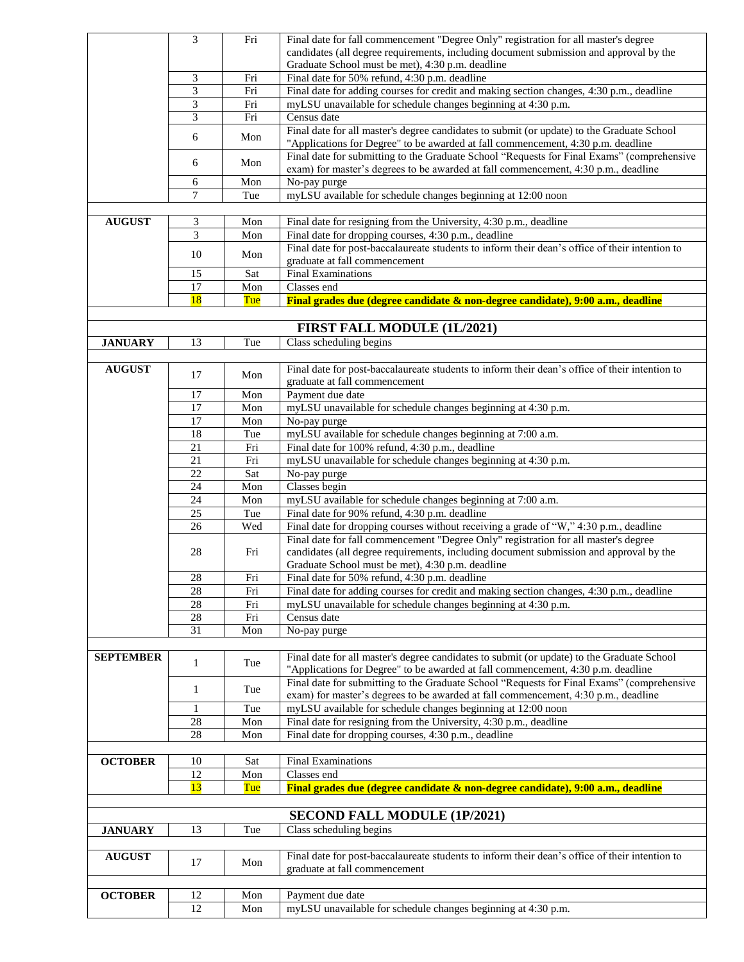|                  | 3              | Fri | Final date for fall commencement "Degree Only" registration for all master's degree                                                        |
|------------------|----------------|-----|--------------------------------------------------------------------------------------------------------------------------------------------|
|                  |                |     | candidates (all degree requirements, including document submission and approval by the                                                     |
|                  |                |     | Graduate School must be met), 4:30 p.m. deadline                                                                                           |
|                  | 3              | Fri | Final date for 50% refund, 4:30 p.m. deadline                                                                                              |
|                  | $\overline{3}$ | Fri | Final date for adding courses for credit and making section changes, 4:30 p.m., deadline                                                   |
|                  | 3              | Fri | myLSU unavailable for schedule changes beginning at 4:30 p.m.                                                                              |
|                  | 3              | Fri | Census date                                                                                                                                |
|                  | 6              | Mon | Final date for all master's degree candidates to submit (or update) to the Graduate School                                                 |
|                  |                |     | "Applications for Degree" to be awarded at fall commencement, 4:30 p.m. deadline                                                           |
|                  | 6              | Mon | Final date for submitting to the Graduate School "Requests for Final Exams" (comprehensive                                                 |
|                  |                |     | exam) for master's degrees to be awarded at fall commencement, 4:30 p.m., deadline                                                         |
|                  | 6              | Mon | No-pay purge                                                                                                                               |
|                  | 7              | Tue | myLSU available for schedule changes beginning at 12:00 noon                                                                               |
|                  |                |     |                                                                                                                                            |
| <b>AUGUST</b>    | 3              | Mon | Final date for resigning from the University, 4:30 p.m., deadline                                                                          |
|                  | 3              | Mon | Final date for dropping courses, 4:30 p.m., deadline                                                                                       |
|                  | 10             | Mon | Final date for post-baccalaureate students to inform their dean's office of their intention to                                             |
|                  |                |     | graduate at fall commencement                                                                                                              |
|                  | 15             | Sat | <b>Final Examinations</b>                                                                                                                  |
|                  | 17             | Mon | Classes end                                                                                                                                |
|                  | <b>18</b>      | Tue | Final grades due (degree candidate & non-degree candidate), 9:00 a.m., deadline                                                            |
|                  |                |     |                                                                                                                                            |
|                  |                |     | FIRST FALL MODULE (1L/2021)                                                                                                                |
| <b>JANUARY</b>   | 13             | Tue | Class scheduling begins                                                                                                                    |
|                  |                |     |                                                                                                                                            |
| <b>AUGUST</b>    | 17             | Mon | Final date for post-baccalaureate students to inform their dean's office of their intention to                                             |
|                  |                |     | graduate at fall commencement                                                                                                              |
|                  | 17             | Mon | Payment due date                                                                                                                           |
|                  | 17             | Mon | myLSU unavailable for schedule changes beginning at 4:30 p.m.                                                                              |
|                  | 17             | Mon | No-pay purge                                                                                                                               |
|                  | 18             | Tue | myLSU available for schedule changes beginning at 7:00 a.m.                                                                                |
|                  | 21             | Fri | Final date for 100% refund, 4:30 p.m., deadline                                                                                            |
|                  | 21             | Fri | myLSU unavailable for schedule changes beginning at 4:30 p.m.                                                                              |
|                  | 22             | Sat | No-pay purge                                                                                                                               |
|                  | 24             | Mon | Classes begin                                                                                                                              |
|                  | 24             | Mon | myLSU available for schedule changes beginning at 7:00 a.m.                                                                                |
|                  | 25             | Tue | Final date for 90% refund, 4:30 p.m. deadline                                                                                              |
|                  | 26             | Wed | Final date for dropping courses without receiving a grade of "W," 4:30 p.m., deadline                                                      |
|                  |                | Fri | Final date for fall commencement "Degree Only" registration for all master's degree                                                        |
|                  | 28             |     | candidates (all degree requirements, including document submission and approval by the<br>Graduate School must be met), 4:30 p.m. deadline |
|                  | 28             | Fri | Final date for 50% refund, 4:30 p.m. deadline                                                                                              |
|                  | 28             | Fri | Final date for adding courses for credit and making section changes, 4:30 p.m., deadline                                                   |
|                  | 28             | Fri | myLSU unavailable for schedule changes beginning at 4:30 p.m.                                                                              |
|                  | $28\,$         | Fri | Census date                                                                                                                                |
|                  | 31             | Mon | No-pay purge                                                                                                                               |
|                  |                |     |                                                                                                                                            |
| <b>SEPTEMBER</b> |                |     | Final date for all master's degree candidates to submit (or update) to the Graduate School                                                 |
|                  | $\mathbf{1}$   | Tue | "Applications for Degree" to be awarded at fall commencement, 4:30 p.m. deadline                                                           |
|                  |                |     | Final date for submitting to the Graduate School "Requests for Final Exams" (comprehensive                                                 |
|                  | $\mathbf{1}$   | Tue | exam) for master's degrees to be awarded at fall commencement, 4:30 p.m., deadline                                                         |
|                  | 1              | Tue | myLSU available for schedule changes beginning at 12:00 noon                                                                               |
|                  | 28             | Mon | Final date for resigning from the University, 4:30 p.m., deadline                                                                          |
|                  | 28             | Mon | Final date for dropping courses, 4:30 p.m., deadline                                                                                       |
|                  |                |     |                                                                                                                                            |
| <b>OCTOBER</b>   | 10             | Sat | Final Examinations                                                                                                                         |
|                  | 12             | Mon | Classes end                                                                                                                                |
|                  | 13             | Tue | Final grades due (degree candidate & non-degree candidate), 9:00 a.m., deadline                                                            |
|                  |                |     |                                                                                                                                            |
|                  |                |     | <b>SECOND FALL MODULE (1P/2021)</b>                                                                                                        |
| <b>JANUARY</b>   | 13             | Tue | Class scheduling begins                                                                                                                    |
|                  |                |     |                                                                                                                                            |
| <b>AUGUST</b>    |                |     | Final date for post-baccalaureate students to inform their dean's office of their intention to                                             |
|                  | 17             | Mon | graduate at fall commencement                                                                                                              |
|                  |                |     |                                                                                                                                            |
| <b>OCTOBER</b>   | 12             | Mon | Payment due date                                                                                                                           |
|                  | 12             | Mon | myLSU unavailable for schedule changes beginning at 4:30 p.m.                                                                              |